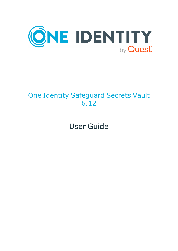

# One Identity Safeguard Secrets Vault 6.12

User Guide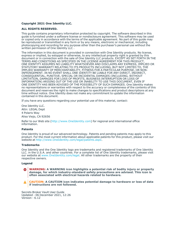#### **Copyright 2021 One Identity LLC.**

#### **ALL RIGHTS RESERVED.**

This guide contains proprietary information protected by copyright. The software described in this guide is furnished under a software license or nondisclosure agreement. This software may be used or copied only in accordance with the terms of the applicable agreement. No part of this guide may be reproduced or transmitted in any form or by any means, electronic or mechanical, including photocopying and recording for any purpose other than the purchaser's personal use without the written permission of One Identity LLC .

The information in this document is provided in connection with One Identity products. No license, express or implied, by estoppel or otherwise, to any intellectual property right is granted by this document or in connection with the sale of One Identity LLC products. EXCEPT AS SET FORTH IN THE TERMS AND CONDITIONS AS SPECIFIED IN THE LICENSE AGREEMENT FOR THIS PRODUCT, ONE IDENTITY ASSUMES NO LIABILITY WHATSOEVER AND DISCLAIMS ANY EXPRESS, IMPLIED OR STATUTORY WARRANTY RELATING TO ITS PRODUCTS INCLUDING, BUT NOT LIMITED TO, THE IMPLIED WARRANTY OF MERCHANTABILITY, FITNESS FOR A PARTICULAR PURPOSE, OR NON-INFRINGEMENT. IN NO EVENT SHALL ONE IDENTITY BE LIABLE FOR ANY DIRECT, INDIRECT, CONSEQUENTIAL, PUNITIVE, SPECIAL OR INCIDENTAL DAMAGES (INCLUDING, WITHOUT LIMITATION, DAMAGES FOR LOSS OF PROFITS, BUSINESS INTERRUPTION OR LOSS OF INFORMATION) ARISING OUT OF THE USE OR INABILITY TO USE THIS DOCUMENT, EVEN IF ONE IDENTITY HAS BEEN ADVISED OF THE POSSIBILITY OF SUCH DAMAGES. One Identity makes no representations or warranties with respect to the accuracy or completeness of the contents of this document and reserves the right to make changes to specifications and product descriptions at any time without notice. One Identity does not make any commitment to update the information contained in this document.

If you have any questions regarding your potential use of this material, contact:

One Identity LLC. Attn: LEGAL Dept 4 Polaris Way Aliso Viejo, CA 92656

Refer to our Web site [\(http://www.OneIdentity.com](http://www.oneidentity.com/)) for regional and international office information.

#### **Patents**

One Identity is proud of our advanced technology. Patents and pending patents may apply to this product. For the most current information about applicable patents for this product, please visit our website at [http://www.OneIdentity.com/legal/patents.aspx.](http://www.oneidentity.com/legal/patents.aspx)

#### **Trademarks**

One Identity and the One Identity logo are trademarks and registered trademarks of One Identity LLC. in the U.S.A. and other countries. For a complete list of One Identity trademarks, please visit our website at [www.OneIdentity.com/legal](http://www.oneidentity.com/legal). All other trademarks are the property of their respective owners.

#### **Legend**

**WARNING: A WARNING icon highlights a potential risk of bodily injury or property** œ **damage, for which industry-standard safety precautions are advised. This icon is often associated with electrical hazards related to hardware.**

**CAUTION: A CAUTION icon indicates potential damage to hardware or loss of data if instructions are not followed.**

Secrets Broker Vault User Guide Updated - 06 December 2021, 12:26 Version - 6.12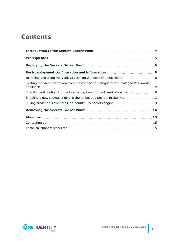## **Contents**

| Deploying the Secrets Broker Vault <b>[19] Department Constructs</b> 6             |  |
|------------------------------------------------------------------------------------|--|
|                                                                                    |  |
| Installing and using the Vault CLI tool on Windows or Linux clients  8             |  |
| Getting the vault root token from the connected Safeguard for Privileged Passwords |  |
| Enabling and configuring the Username/Password authentication method  10           |  |
| Enabling a new secrets engine in the embedded Secrets Broker Vault  13             |  |
|                                                                                    |  |
|                                                                                    |  |
|                                                                                    |  |
|                                                                                    |  |
|                                                                                    |  |

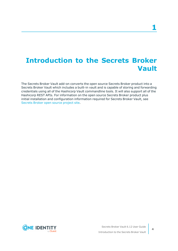## <span id="page-3-0"></span>**Introduction to the Secrets Broker Vault**

The Secrets Broker Vault add-on converts the open source Secrets Broker product into a Secrets Broker Vault which includes a built-in vault and is capable of storing and forwarding credentials using all of the Hashicorp Vault commandline tools. It will also support all of the Hashicorp REST APIs. For information on the open source Secrets Broker product plus initial installation and configuration information required for Secrets Broker Vault, see [Secrets](https://github.com/OneIdentity/SafeguardDevOpsService) Broker open source project site.

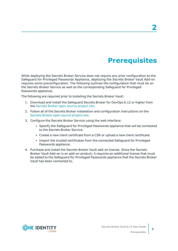## **Prerequisites**

<span id="page-4-0"></span>While deploying the Secrets Broker Service does not require any prior configuration to the Safeguard for Privileged Passwords Appliance, deploying the Secrets Broker Vault Add-on requires some preconfiguration. The following outlines the configuration that must be on the Secrets Broker Service as well as the corresponding Safeguard for Privileged Passwords appliance.

The following are required prior to installing the Secrets Broker Vault:

- 1. Download and install the Safeguard Secrets Broker for DevOps 6.12 or higher from the [Secrets](https://github.com/OneIdentity/SafeguardDevOpsService) Broker open source project site.
- 2. Follow all of the Secrets Broker installation and configuration instructions on the [Secrets](https://github.com/OneIdentity/SafeguardDevOpsService) Broker open source project site.
- 3. Configure the Secrets Broker Service using the web interface:
	- Specify the Safeguard for Privileged Passwords appliance that will be connected to the Secrets Broker Service.
	- Create a new client certificate from a CSR or upload a new client certificate.
	- Import the trusted certificates from the connected Safeguard for Privileged Passwords appliance.
- 4. Purchase and install the Secrets Broker Vault add-on license. Since the Secrets Broker Vault Add-on is an add-on product, it requires an additional license that must be added to the Safeguard for Privileged Passwords appliance that the Secrets Broker Vault has been connected to.

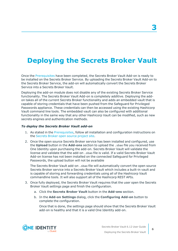# <span id="page-5-0"></span>**Deploying the Secrets Broker Vault**

Once the [Prerequisites](#page-4-0) have been completed, the Secrets Broker Vault Add-on is ready to be installed on the Secrets Broker Service. By uploading the Secrets Broker Vault Add-on to the Secrets Broker Service, the add-on will automatically convert the Secrets Broker Service into a Secrets Broker Vault.

Deploying the add-on module does not disable any of the existing Secrets Broker Service functionality. The Secrets Broker Vault Add-on is completely additive. Deploying the addon takes all of the current Secrets Broker functionality and adds an embedded vault that is capable of storing credentials that have been pushed from the Safeguard for Privileged Passwords appliance. These credentials can then be accessed using the existing Hashicorp Vault command line tools. The embedded vault can also be configured with additional functionality in the same way that any other Hashicorp Vault can be modified, such as new secrets engines and authentication methods.

### *To deploy the Secrets Broker Vault add-on*

- 1. As stated in the [Prerequisites,](#page-4-0) follow all installation and configuration instructions on the [Secrets](https://github.com/OneIdentity/SafeguardDevOpsService) Broker open source project site.
- 2. Once the open source Secrets Broker service has been installed and configured, use the **Upload** button in the **Add-ons** section to upload the .sbao file you received from One Identity upon purchasing the add-on. Secrets Broker Vault will validate the license and validate that the add-on .sbao file is valid. If a valid Secrets Broker Vault Add-on license has not been installed on the connected Safeguard for Privileged Passwords, the upload button will not be available

The Secrets Broker Vault add-on .sbao file will automatically convert the open source Secrets Broker service into a Secrets Broker Vault which includes a built-in vault and is capable of storing and forwarding credentials using all of the Hashicorp Vault commandline tools. It will also support all of the Hashicorp REST APIs.

- 3. Once fully deployed, the Secrets Broker Vault requires that the user open the Secrets Broker Vault settings page and finish the configuration.
	- a. Click the **Secrets Broker Vault** button in the **Add-ons** section.
	- b. In the **Add-on Settings** dialog, click the **Configuring Add-on** button to complete the configuration.

Once that is done, the settings page should show that the Secrets Broker Vault add-on is healthy and that it is a valid One Identity add-on.

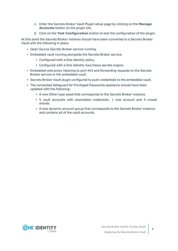- c. Enter the Secrets Broker Vault Plugin setup page by clicking on the **Manage Accounts** button on the plugin tile.
- d. Click on the **Test Configuration** button to test the configuration of the plugin.

At this point the Secrets Broker instance should have been converted to a Secrets Broker Vault with the following in place:

- Open Source Secrets Broker service running.
- Embedded vault running alongside the Secrets Broker service.
	- Configured with a One Identity policy.
	- Configured with a One Identity Key/Value secrets engine.
- <sup>l</sup> Embedded web proxy listening to port 443 and forwarding requests to the Secrets Broker service or the embedded vault.
- Secrets Broker Vault plugin configured to push credentials to the embedded vault.
- The connected Safeguard for Privileged Passwords appliance should have been updated with the following:
	- A new Other type asset that corresponds to the Secrets Broker instance.
	- <sup>l</sup> 5 vault accounts with associated credentials. 1 root account and 4 unseal shards.
	- A new dynamic account group that corresponds to the Secrets Broker instance and contains all of the vault accounts.

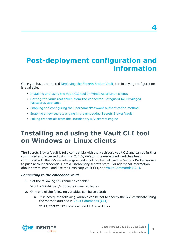# <span id="page-7-0"></span>**Post-deployment configuration and information**

Once you have completed [Deploying](#page-5-0) the Secrets Broker Vault, the following configuration is available:

- [Installing](#page-7-1) and using the Vault CLI tool on Windows or Linux clients
- Getting the vault root token from the connected [Safeguard](#page-8-0) for Privileged [Passwords](#page-8-0) appliance
- <sup>l</sup> Enabling and configuring the [Username/Password](#page-9-0) authentication method
- <sup>l</sup> Enabling a new secrets engine in the [embedded](#page-12-0) Secrets Broker Vault
- Pulling credentials from the [OneIdentity](#page-12-1) K/V secrets engine

## <span id="page-7-1"></span>**Installing and using the Vault CLI tool on Windows or Linux clients**

The Secrets Broker Vault is fully compatible with the Hashicorp vault CLI and can be further configured and accessed using this CLI. By default, the embedded vault has been configured with the K/V secrets engine and a policy which allows the Secrets Broker service to push account credentials into a OneIdentity secrets store. For additional information about how to install and use the Hashicorp vault CLI, see Vault [Commands](https://www.vaultproject.io/docs/commands) (CLI).

### *Connecting to the embedded vault*

1. Set the following environment variable:

VAULT\_ADDR=https://<SecretsBroker Address>

- 2. Only one of the following variables can be selected:
	- a. If selected, the following variable can be set to specify the SSL certificate using the method outlined in Vault [Commands](https://www.vaultproject.io/docs/commands) (CLI):

VAULT\_CACERT=<PEM encoded certificate file>



**8**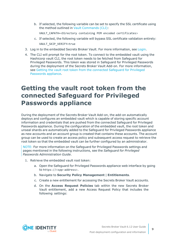b. If selected, the following variable can be set to specify the SSL certificate using the method outlined in Vault [Commands](https://www.vaultproject.io/docs/commands) (CLI):

VAULT CAPATH=<Directory containing PEM encoded certificates>

- c. If selected, the following variable will bypass SSL certificate validation entirely: VAULT\_SKIP\_VERIFY=true
- 3. Log in to the embedded Secrets Broker Vault. For more information, see [Login.](https://www.vaultproject.io/docs/commands/login)
- 4. The CLI will prompt for the root token. To connect to the embedded vault using the Hashicorp vault CLI, the root token needs to be fetched from Safeguard for Privileged Passwords. This token was stored in Safeguard for Privileged Passwords during the deployment of the Secrets Broker Vault Add-on. For more information, see Getting the vault root token from the connected [Safeguard](#page-8-0) for Privileged [Passwords](#page-8-0) appliance.

### <span id="page-8-0"></span>**Getting the vault root token from the connected Safeguard for Privileged Passwords appliance**

During the deployment of the Secrets Broker Vault Add-on, the add-on automatically deploys and configures an embedded vault which is capable of storing specific account information and credentials that are pushed from the connected Safeguard for Privileged Passwords appliance. During the configuration of the embedded vault, the root token and unseal shards are automatically added to the Safeguard for Privileged Passwords appliance as new accounts and an account group is created that contains these accounts. The account group can be used to create an access policy and subsequent access request to retrieve the root token so that the embedded vault can be further configured by an administrator.

NOTE: For more information on the Safeguard for Privileged Passwords settings and pages mentioned in the following instructions, see the *Safeguard for Privileged Passwords Administration Guide*.

- 1. Retrieve the embedded vault root token:
	- a. Open the Safeguard for Privileged Passwords appliance web interface by going to https://<spp-address>.
	- b. Navigate to **Security Policy Management** | **Entitlements**.
	- c. Create a new entitlement for accessing the Secrets Broker Vault accounts.
	- d. On the **Access Request Policies** tab within the new Secrets Broker Vault entitlement, add a new Access Request Policy that includes the following settings:

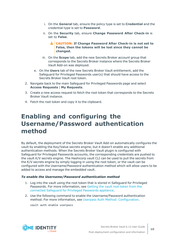- i. On the **General** tab, ensure the policy type is set to **Credential** and the credential type is set to **Password**.
- ii. On the **Security** tab, ensure **Change Password After Check-in** is set to **False**.
	- **CAUTION: If Change Password After Check-in is not set to False, then the tokens will be lost since they cannot be changed.**
- iii. On the **Scope** tab, add the new Secrets Broker account group that corresponds to the Secrets Broker instance where the Secrets Broker Vault Add-on was deployed.
- e. On the **Users** tab of the new Secrets Broker Vault entitlement, add the Safeguard for Privileged Passwords user(s) that should have access to the Secrets Broker Vault root token.
- 2. Navigate back to the main Safeguard for Privileged Passwords page and select **Access Requests** | **My Requests**.
- 3. Create a new access request to fetch the root token that corresponds to the Secrets Broker Vault instance.
- <span id="page-9-0"></span>4. Fetch the root token and copy it to the clipboard.

## **Enabling and configuring the Username/Password authentication method**

By default, the deployment of the Secrets Broker Vault Add-on automatically configures the vault by enabling the Key/Value secrets engine, but it doesn't enable any additional authentication methods. When the Secrets Broker Vault plugin is configured with Safeguard for Privileged Passwords accounts, the corresponding credentials are pushed to the vault K/V secrets engine. The Hashicorp vault CLI can be used to pull the secrets from the K/V secrets engine by simply logging in using the root token, or the vault can be configured with the Username/Password authentication method which will allow users to be added to access and manage the embedded vault.

### *To enable the Username/Password authentication method*

- 1. Log into the vault using the root token that is stored in Safeguard for Privileged Passwords. For more information, see [Getting](#page-8-0) the vault root token from the connected Safeguard for Privileged [Passwords](#page-8-0) appliance.
- 2. Use the following command to enable the Username/Password authentication method. For more information, see Userpass Auth Method: [Configuration.](https://www.vaultproject.io/docs/auth/userpass#configuration)

vault auth enable userpass

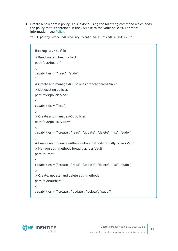3. Create a new admin policy. This is done using the following command which adds the policy that is contained in the .hcl file to the vault policies. For more information, see [Policy.](https://www.vaultproject.io/docs/commands/policy#policy)

vault policy write adminpolicy "<path to file>/admin-policy.hcl

```
Example .hcl file
# Read system health check
path "sys/health"
{
capabilities = ["read", "sudo"]
}
# Create and manage ACL policies broadly across Vault
# List existing policies
path "sys/policies/acl"
{
capabilities = ["list"]
}
# Create and manage ACL policies
path "sys/policies/acl/*"
{
capabilities = ["create", "read", "update", "delete", "list", "sudo"]
}
# Enable and manage authentication methods broadly across Vault
# Manage auth methods broadly across Vault
path "auth/*"
{
capabilities = ["create", "read", "update", "delete", "list", "sudo"]
}
# Create, update, and delete auth methods
path "sys/auth/*"
{
capabilities = ["create", "update", "delete", "sudo"]
```
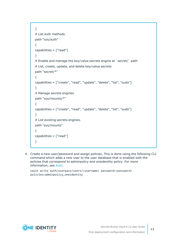```
}
# List auth methods
path "sys/auth"
{
capabilities = ["read"]
}
# Enable and manage the key/value secrets engine at `secret/` path
# List, create, update, and delete key/value secrets
path "secret/*"
{
capabilities = ["create", "read", "update", "delete", "list", "sudo"]
}
# Manage secrets engines
path "sys/mounts/*"
{
capabilities = ["create", "read", "update", "delete", "list", "sudo"]
}
# List existing secrets engines.
path "sys/mounts"
{
capabilities = ["read"]
}
```
4. Create a new user/password and assign policies. This is done using the following CLI command which adds a new user to the user database that is enabled with the policies that correspond to adminpolicy and oneidentity policy. For more information, see [Auth](https://www.vaultproject.io/docs/commands/auth#auth).

vault write auth/userpass/users/<username> password=<password> policies=adminpolicy,oneidentity



**12**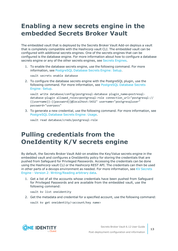## <span id="page-12-0"></span>**Enabling a new secrets engine in the embedded Secrets Broker Vault**

The embedded vault that is deployed by the Secrets Broker Vault Add-on deploys a vault that is completely compatible with the Hashicorp vault CLI. The embedded vault can be configured with additional secrets engines. One of the secrets engines that can be configured is the database engine. For more information about how to configure a database secrets engine or any of the other secrets engines, see Secrets [Engines](https://www.vaultproject.io/docs/secrets#secrets-engines).

1. To enable the database secrets engine, use the following command. For more information, see [PostgreSQL](https://www.vaultproject.io/docs/secrets/databases/postgresql#setup) Database Secrets Engine: Setup.

vault secrets enable database

2. To configure the database secrets engine with the PostgreSQL plugin, use the following command. For more information, see [PostgreSQL](https://www.vaultproject.io/docs/secrets/databases/postgresql#setup) Database Secrets [Engine:](https://www.vaultproject.io/docs/secrets/databases/postgresql#setup) Setup.

vault write database/config/postgresql-database plugin name=postresqldatabase-plugin allowed roles=postgresql-role connection url="postgresql:// {{username}}:{{password}}@localhost:5432" username="postgresqluser" password="userpass"

3. To generate a new credential, use the following command. For more information, see [PostgreSQL](https://www.vaultproject.io/docs/secrets/databases/postgresql#usage) Database Secrets Engine: Usage.

vault read database/creds/postgresql-role

## <span id="page-12-1"></span>**Pulling credentials from the OneIdentity K/V secrets engine**

By default, the Secrets Broker Vault Add-on enables the Key/Value secrets engine in the embedded vault and configures a OneIdentity policy for storing the credentials that are pushed from Safeguard for Privileged Passwords. Accessing the credentials can be done using the Hashicorp vault CLI or the Hashicorp REST API. The credentials can then be used in other parts of a devops environment as needed. For more information, see KV [Secrets](https://www.vaultproject.io/docs/secrets/kv/kv-v2#writing-reading-arbitrary-data) Engine - Version 2: [Writing/Reading](https://www.vaultproject.io/docs/secrets/kv/kv-v2#writing-reading-arbitrary-data) arbitrary data.

1. Get a list of all the accounts whose credentials have been pushed from Safeguard for Privileged Passwords and are available from the embedded vault, use the following command:

vault kv list oneidentity

2. Get the metadata and credential for a specified account, use the following command: vault kv get oneidentity/<account/key name>

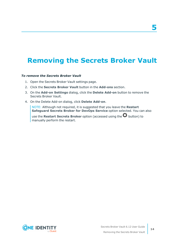# **5**

## <span id="page-13-0"></span>**Removing the Secrets Broker Vault**

### *To remove the Secrets Broker Vault*

- 1. Open the Secrets Broker Vault settings page.
- 2. Click the **Secrets Broker Vault** button in the **Add-ons** section.
- 3. On the **Add-on Settings** dialog, click the **Delete Add-on** button to remove the Secrets Broker Vault.
- 4. On the Delete Add-on dialog, click **Delete Add-on**.

NOTE: Although not required, it is suggested that you leave the **Restart Safeguard Secrets Broker for DevOps Service** option selected. You can also

use the **Restart Secrets Broker** option (accessed using the  $\Omega$  button) to manually perform the restart.